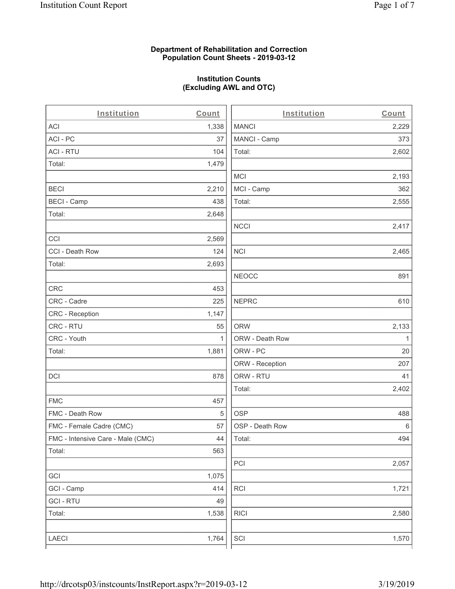## **Department of Rehabilitation and Correction Population Count Sheets - 2019-03-12**

# **Institution Counts (Excluding AWL and OTC)**

. .

| Institution                       | Count        | Institution     | Count        |
|-----------------------------------|--------------|-----------------|--------------|
| ACI                               | 1,338        | <b>MANCI</b>    | 2,229        |
| ACI-PC                            | 37           | MANCI - Camp    | 373          |
| <b>ACI - RTU</b>                  | 104          | Total:          | 2,602        |
| Total:                            | 1,479        |                 |              |
|                                   |              | <b>MCI</b>      | 2,193        |
| <b>BECI</b>                       | 2,210        | MCI - Camp      | 362          |
| <b>BECI - Camp</b>                | 438          | Total:          | 2,555        |
| Total:                            | 2,648        |                 |              |
|                                   |              | <b>NCCI</b>     | 2,417        |
| CCI                               | 2,569        |                 |              |
| CCI - Death Row                   | 124          | $\sf NCI$       | 2,465        |
| Total:                            | 2,693        |                 |              |
|                                   |              | <b>NEOCC</b>    | 891          |
| <b>CRC</b>                        | 453          |                 |              |
| CRC - Cadre                       | 225          | <b>NEPRC</b>    | 610          |
| CRC - Reception                   | 1,147        |                 |              |
| CRC - RTU                         | 55           | <b>ORW</b>      | 2,133        |
| CRC - Youth                       | $\mathbf{1}$ | ORW - Death Row | $\mathbf{1}$ |
| Total:                            | 1,881        | ORW - PC        | 20           |
|                                   |              | ORW - Reception | 207          |
| DCI                               | 878          | ORW - RTU       | 41           |
|                                   |              | Total:          | 2,402        |
| <b>FMC</b>                        | 457          |                 |              |
| FMC - Death Row                   | 5            | <b>OSP</b>      | 488          |
| FMC - Female Cadre (CMC)          | 57           | OSP - Death Row | 6            |
| FMC - Intensive Care - Male (CMC) | 44           | Total:          | 494          |
| Total:                            | 563          |                 |              |
|                                   |              | PCI             | 2,057        |
| GCI                               | 1,075        |                 |              |
| GCI - Camp                        | 414          | RCI             | 1,721        |
| <b>GCI - RTU</b>                  | 49           |                 |              |
| Total:                            | 1,538        | <b>RICI</b>     | 2,580        |
|                                   |              |                 |              |
| LAECI                             | 1,764        | SCI             | 1,570        |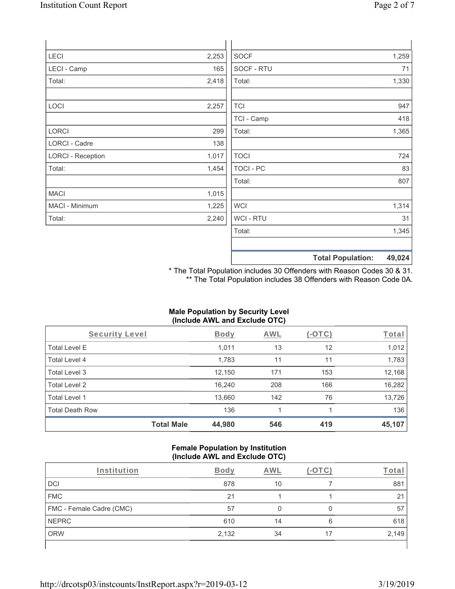| <b>Total Population:</b>                                                                  | 49,024                              |
|-------------------------------------------------------------------------------------------|-------------------------------------|
|                                                                                           |                                     |
| Total:                                                                                    | 1,345                               |
| WCI - RTU                                                                                 | 31                                  |
| <b>WCI</b>                                                                                | 1,314                               |
|                                                                                           |                                     |
| Total:                                                                                    | 807                                 |
| TOCI - PC                                                                                 | 83                                  |
| <b>TOCI</b>                                                                               | 724                                 |
|                                                                                           |                                     |
| Total:                                                                                    | 1,365                               |
| TCI - Camp                                                                                | 418                                 |
| <b>TCI</b>                                                                                | 947                                 |
|                                                                                           | 1,330                               |
|                                                                                           | 71                                  |
|                                                                                           | 1,259                               |
|                                                                                           |                                     |
| 2,253<br>165<br>2,418<br>2,257<br>299<br>138<br>1,017<br>1,454<br>1,015<br>1,225<br>2,240 | <b>SOCF</b><br>SOCF - RTU<br>Total: |

\* The Total Population includes 30 Offenders with Reason Codes 30 & 31. \*\* The Total Population includes 38 Offenders with Reason Code 0A.

## **Male Population by Security Level (Include AWL and Exclude OTC)**

| Security Level         |                   | <b>Body</b> | <b>AWL</b> | $(-\text{OTC})$ | <u>Total</u> |
|------------------------|-------------------|-------------|------------|-----------------|--------------|
| <b>Total Level E</b>   |                   | 1,011       | 13         | 12              | 1,012        |
| Total Level 4          |                   | 1,783       | 11         | 11              | 1,783        |
| Total Level 3          |                   | 12,150      | 171        | 153             | 12,168       |
| Total Level 2          |                   | 16,240      | 208        | 166             | 16,282       |
| Total Level 1          |                   | 13,660      | 142        | 76              | 13,726       |
| <b>Total Death Row</b> |                   | 136         |            |                 | 136          |
|                        | <b>Total Male</b> | 44,980      | 546        | 419             | 45,107       |

#### **Female Population by Institution (Include AWL and Exclude OTC)**

| Institution              | <b>Body</b> | AWL |    | <u><sup>r</sup>ota</u> r |
|--------------------------|-------------|-----|----|--------------------------|
| DCI                      | 878         | 10  |    | 881                      |
| <b>FMC</b>               | 21          |     |    | 21                       |
| FMC - Female Cadre (CMC) | 57          |     |    | 57                       |
| <b>NEPRC</b>             | 610         | 14  | 6  | 618                      |
| <b>ORW</b>               | 2,132       | 34  | 17 | 2,149                    |
|                          |             |     |    |                          |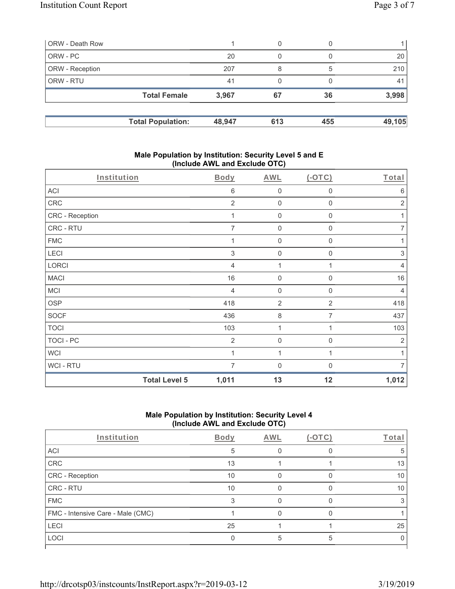|                              | 0                        | $\left( \right)$ |                |
|------------------------------|--------------------------|------------------|----------------|
| 20                           |                          |                  | 20             |
| 207                          | 8                        | 5                | 210            |
| 41                           | 0                        |                  | 4 <sup>1</sup> |
| <b>Total Female</b><br>3,967 | 67                       | 36               | 3,998          |
|                              |                          |                  | 49,105         |
|                              | <b>Total Population:</b> | 48,947<br>613    | 455            |

## **Male Population by Institution: Security Level 5 and E (Include AWL and Exclude OTC)**

| Institution      |                      | <b>Body</b>    | <b>AWL</b>          | $(-OTC)$         | Total          |
|------------------|----------------------|----------------|---------------------|------------------|----------------|
| <b>ACI</b>       |                      | 6              | $\mathsf 0$         | $\boldsymbol{0}$ | 6              |
| CRC              |                      | $\overline{2}$ | $\mathsf{O}\xspace$ | $\boldsymbol{0}$ | $\sqrt{2}$     |
| CRC - Reception  |                      | 1              | $\mathbf 0$         | $\boldsymbol{0}$ | 1              |
| CRC - RTU        |                      | $\overline{7}$ | $\mathbf 0$         | $\mathbf 0$      | $\overline{7}$ |
| <b>FMC</b>       |                      | 1              | $\mathbf 0$         | $\mathbf 0$      | 1              |
| LECI             |                      | 3              | $\mathbf 0$         | $\mathbf 0$      | 3              |
| LORCI            |                      | 4              | 1                   | 1                | $\overline{4}$ |
| <b>MACI</b>      |                      | 16             | $\mathbf 0$         | 0                | 16             |
| MCI              |                      | 4              | $\mathbf 0$         | $\mathbf 0$      | $\overline{4}$ |
| <b>OSP</b>       |                      | 418            | $\overline{2}$      | $\overline{2}$   | 418            |
| <b>SOCF</b>      |                      | 436            | $\,8\,$             | 7                | 437            |
| <b>TOCI</b>      |                      | 103            | 1                   | 1                | 103            |
| <b>TOCI - PC</b> |                      | $\overline{2}$ | $\mathbf 0$         | $\mathbf 0$      | $\overline{2}$ |
| <b>WCI</b>       |                      |                | 1                   | 1                | 1              |
| WCI - RTU        |                      | 7              | $\mathbf 0$         | 0                | $\overline{7}$ |
|                  | <b>Total Level 5</b> | 1,011          | 13                  | 12               | 1,012          |

## **Male Population by Institution: Security Level 4 (Include AWL and Exclude OTC)**

| Institution                       | Body | AWL |   | Total |
|-----------------------------------|------|-----|---|-------|
| ACI                               | 5    |     |   | 5     |
| <b>CRC</b>                        | 13   |     |   | 13    |
| CRC - Reception                   | 10   |     |   | 10    |
| CRC - RTU                         | 10   |     |   | 10    |
| <b>FMC</b>                        | 3    |     |   |       |
| FMC - Intensive Care - Male (CMC) |      |     |   |       |
| LECI                              | 25   |     |   | 25    |
| LOCI                              |      |     | 5 |       |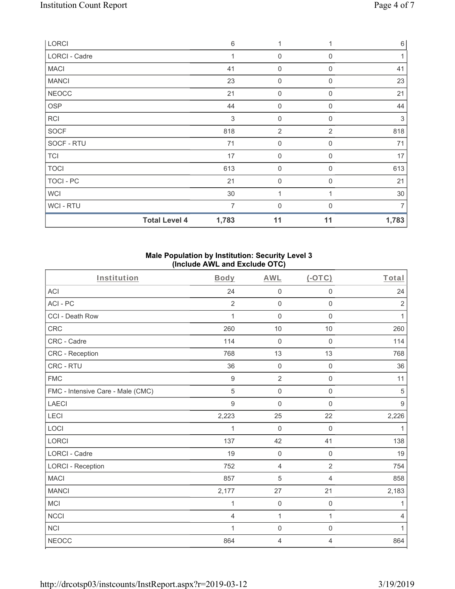| LORCI         |                      | 6              | 1                |                | $\,6\,$ |
|---------------|----------------------|----------------|------------------|----------------|---------|
| LORCI - Cadre |                      | 1              | $\overline{0}$   | $\Omega$       |         |
| <b>MACI</b>   |                      | 41             | 0                | $\mathbf 0$    | 41      |
| <b>MANCI</b>  |                      | 23             | $\mathbf 0$      | $\Omega$       | 23      |
| <b>NEOCC</b>  |                      | 21             | $\mathbf 0$      | 0              | 21      |
| <b>OSP</b>    |                      | 44             | $\mathbf 0$      | $\mathbf 0$    | 44      |
| RCI           |                      | 3              | $\mathbf 0$      | 0              | 3       |
| SOCF          |                      | 818            | $\overline{2}$   | $\overline{2}$ | 818     |
| SOCF - RTU    |                      | 71             | $\boldsymbol{0}$ | 0              | 71      |
| <b>TCI</b>    |                      | 17             | $\mathbf 0$      | $\mathbf 0$    | 17      |
| <b>TOCI</b>   |                      | 613            | $\boldsymbol{0}$ | 0              | 613     |
| TOCI - PC     |                      | 21             | $\overline{0}$   | $\mathbf 0$    | 21      |
| <b>WCI</b>    |                      | 30             | 1                |                | 30      |
| WCI - RTU     |                      | $\overline{7}$ | $\mathbf 0$      | $\Omega$       | 7       |
|               | <b>Total Level 4</b> | 1,783          | 11               | 11             | 1,783   |

## **Male Population by Institution: Security Level 3 (Include AWL and Exclude OTC)**

| Institution                       | <b>Body</b>      | <b>AWL</b>     | (OTC)               | Total          |
|-----------------------------------|------------------|----------------|---------------------|----------------|
| <b>ACI</b>                        | 24               | $\mathbf 0$    | $\mathbf 0$         | 24             |
| ACI-PC                            | $\overline{2}$   | $\mathbf 0$    | $\mathbf 0$         | $\sqrt{2}$     |
| CCI - Death Row                   | $\mathbf{1}$     | $\mathbf 0$    | $\mathbf 0$         | $\mathbf{1}$   |
| <b>CRC</b>                        | 260              | 10             | 10                  | 260            |
| CRC - Cadre                       | 114              | 0              | 0                   | 114            |
| CRC - Reception                   | 768              | 13             | 13                  | 768            |
| CRC - RTU                         | 36               | $\mathbf 0$    | $\mathsf 0$         | 36             |
| <b>FMC</b>                        | $\boldsymbol{9}$ | $\overline{2}$ | $\mathsf{O}\xspace$ | 11             |
| FMC - Intensive Care - Male (CMC) | 5                | $\overline{0}$ | $\mathbf 0$         | 5              |
| <b>LAECI</b>                      | 9                | $\mathbf 0$    | $\Omega$            | $9$            |
| LECI                              | 2,223            | 25             | 22                  | 2,226          |
| LOCI                              | 1                | 0              | 0                   | $\mathbf{1}$   |
| <b>LORCI</b>                      | 137              | 42             | 41                  | 138            |
| LORCI - Cadre                     | 19               | $\mathbf 0$    | $\mathsf 0$         | 19             |
| <b>LORCI - Reception</b>          | 752              | 4              | $\overline{2}$      | 754            |
| <b>MACI</b>                       | 857              | 5              | 4                   | 858            |
| <b>MANCI</b>                      | 2,177            | 27             | 21                  | 2,183          |
| <b>MCI</b>                        | 1                | $\mathbf 0$    | 0                   | 1              |
| <b>NCCI</b>                       | 4                | 1              | 1                   | $\overline{4}$ |
| <b>NCI</b>                        | 1                | $\mathbf 0$    | $\mathsf 0$         | 1              |
| <b>NEOCC</b>                      | 864              | 4              | 4                   | 864            |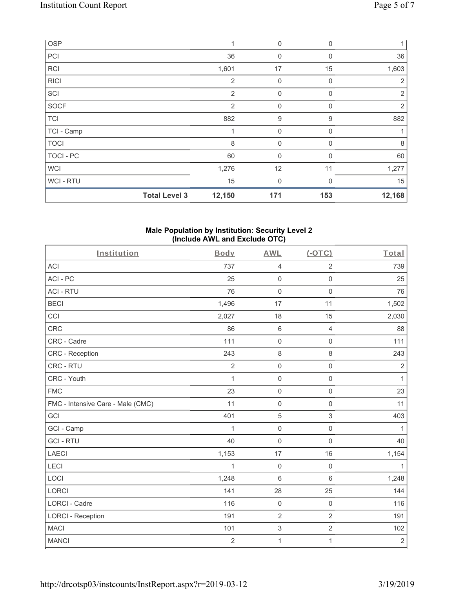| OSP         |                      | 1              | $\mathbf 0$  | 0            |                |
|-------------|----------------------|----------------|--------------|--------------|----------------|
| PCI         |                      | 36             | 0            | 0            | 36             |
| <b>RCI</b>  |                      | 1,601          | 17           | 15           | 1,603          |
| <b>RICI</b> |                      | $\overline{2}$ | $\mathbf 0$  | $\mathbf 0$  | 2              |
| SCI         |                      | 2              | $\mathbf 0$  | $\Omega$     | $\overline{2}$ |
| <b>SOCF</b> |                      | 2              | $\mathbf 0$  | 0            | $\overline{2}$ |
| <b>TCI</b>  |                      | 882            | $9$          | 9            | 882            |
| TCI - Camp  |                      |                | $\mathbf 0$  | 0            |                |
| <b>TOCI</b> |                      | 8              | 0            | 0            | 8              |
| TOCI - PC   |                      | 60             | $\mathbf{0}$ | $\mathbf{0}$ | 60             |
| <b>WCI</b>  |                      | 1,276          | 12           | 11           | 1,277          |
| WCI-RTU     |                      | 15             | $\mathbf{0}$ | $\Omega$     | 15             |
|             | <b>Total Level 3</b> | 12,150         | 171          | 153          | 12,168         |

#### **Male Population by Institution: Security Level 2 (Include AWL and Exclude OTC)**

| Institution                       | <b>Body</b>    | <b>AWL</b>          | (OTC)               | Total          |
|-----------------------------------|----------------|---------------------|---------------------|----------------|
| <b>ACI</b>                        | 737            | $\sqrt{4}$          | $\overline{2}$      | 739            |
| ACI-PC                            | 25             | $\mathbf 0$         | $\mathsf{O}\xspace$ | 25             |
| <b>ACI - RTU</b>                  | 76             | $\mathbf 0$         | $\mathbf 0$         | 76             |
| <b>BECI</b>                       | 1,496          | 17                  | 11                  | 1,502          |
| CCI                               | 2,027          | 18                  | 15                  | 2,030          |
| <b>CRC</b>                        | 86             | $6\,$               | $\overline{4}$      | 88             |
| CRC - Cadre                       | 111            | $\mathbf 0$         | $\mathsf 0$         | 111            |
| <b>CRC</b> - Reception            | 243            | $\,8\,$             | 8                   | 243            |
| CRC - RTU                         | $\overline{2}$ | $\mathsf{O}\xspace$ | $\mathsf 0$         | $\overline{2}$ |
| CRC - Youth                       | 1              | $\mathbf 0$         | $\mathsf 0$         | $\mathbf{1}$   |
| <b>FMC</b>                        | 23             | $\mathbf 0$         | $\mathsf 0$         | 23             |
| FMC - Intensive Care - Male (CMC) | 11             | $\mathbf 0$         | $\mathsf{O}\xspace$ | 11             |
| GCI                               | 401            | 5                   | 3                   | 403            |
| GCI - Camp                        | 1              | $\mathbf 0$         | $\mathsf 0$         | $\mathbf{1}$   |
| <b>GCI-RTU</b>                    | 40             | $\mathbf 0$         | $\mathbf 0$         | 40             |
| <b>LAECI</b>                      | 1,153          | 17                  | 16                  | 1,154          |
| LECI                              | 1              | $\mathbf 0$         | $\mathsf{O}\xspace$ | $\mathbf{1}$   |
| LOCI                              | 1,248          | $6\phantom{1}$      | $6\phantom{a}$      | 1,248          |
| <b>LORCI</b>                      | 141            | 28                  | 25                  | 144            |
| <b>LORCI - Cadre</b>              | 116            | $\mathbf 0$         | $\mathsf{O}\xspace$ | 116            |
| <b>LORCI - Reception</b>          | 191            | $\overline{2}$      | $\overline{2}$      | 191            |
| <b>MACI</b>                       | 101            | $\mathfrak{S}$      | $\overline{2}$      | 102            |
| <b>MANCI</b>                      | $\overline{2}$ | 1                   | $\mathbf{1}$        | $\sqrt{2}$     |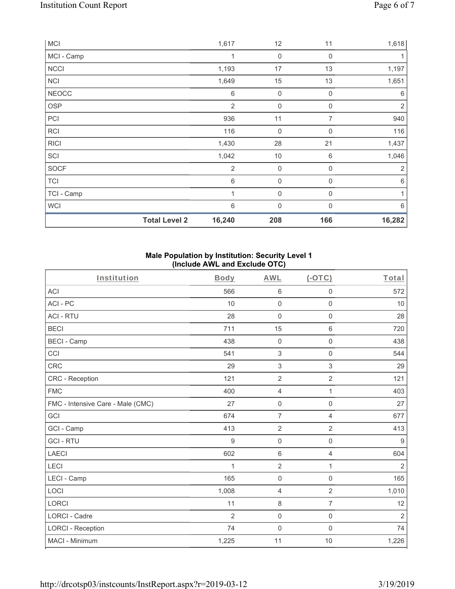|              | <b>Total Level 2</b> | 16,240         | 208         | 166         | 16,282         |
|--------------|----------------------|----------------|-------------|-------------|----------------|
| <b>WCI</b>   |                      | 6              | $\mathbf 0$ | 0           | 6              |
| TCI - Camp   |                      | $\mathbf 1$    | $\mathbf 0$ | 0           | 1              |
| <b>TCI</b>   |                      | 6              | $\mathbf 0$ | 0           | $6\,$          |
| SOCF         |                      | $\overline{2}$ | $\mathbf 0$ | 0           | $\overline{2}$ |
| SCI          |                      | 1,042          | 10          | 6           | 1,046          |
| <b>RICI</b>  |                      | 1,430          | 28          | 21          | 1,437          |
| <b>RCI</b>   |                      | 116            | $\mathbf 0$ | 0           | 116            |
| PCI          |                      | 936            | 11          | 7           | 940            |
| OSP          |                      | $\overline{2}$ | $\mathbf 0$ | 0           | $\sqrt{2}$     |
| <b>NEOCC</b> |                      | 6              | $\mathbf 0$ | $\mathbf 0$ | $6\,$          |
| <b>NCI</b>   |                      | 1,649          | 15          | 13          | 1,651          |
| <b>NCCI</b>  |                      | 1,193          | 17          | 13          | 1,197          |
| MCI - Camp   |                      | 1              | $\mathbf 0$ | $\mathbf 0$ | 1              |
| <b>MCI</b>   |                      | 1,617          | 12          | 11          | 1,618          |

## **Male Population by Institution: Security Level 1 (Include AWL and Exclude OTC)**

| Institution                       | <b>Body</b>    | <b>AWL</b>          | (OTC)               | Total          |
|-----------------------------------|----------------|---------------------|---------------------|----------------|
| <b>ACI</b>                        | 566            | $\,6\,$             | $\mathsf{O}\xspace$ | 572            |
| ACI-PC                            | 10             | $\mathbf 0$         | $\mathsf 0$         | 10             |
| <b>ACI - RTU</b>                  | 28             | $\mathbf 0$         | $\mathbf 0$         | 28             |
| <b>BECI</b>                       | 711            | 15                  | 6                   | 720            |
| <b>BECI - Camp</b>                | 438            | $\mathbf 0$         | 0                   | 438            |
| CCI                               | 541            | $\sqrt{3}$          | $\mathsf 0$         | 544            |
| <b>CRC</b>                        | 29             | $\sqrt{3}$          | 3                   | 29             |
| <b>CRC</b> - Reception            | 121            | $\overline{2}$      | $\overline{2}$      | 121            |
| <b>FMC</b>                        | 400            | $\overline{4}$      | 1                   | 403            |
| FMC - Intensive Care - Male (CMC) | 27             | $\mathbf 0$         | $\mathsf 0$         | 27             |
| GCI                               | 674            | $\overline{7}$      | $\overline{4}$      | 677            |
| GCI - Camp                        | 413            | $\overline{2}$      | $\overline{2}$      | 413            |
| <b>GCI-RTU</b>                    | 9              | $\mathbf 0$         | $\mathsf 0$         | $9\,$          |
| <b>LAECI</b>                      | 602            | $\,6\,$             | $\overline{4}$      | 604            |
| LECI                              | 1              | $\overline{2}$      | 1                   | $\overline{2}$ |
| LECI - Camp                       | 165            | $\mathsf{O}\xspace$ | $\mathbf 0$         | 165            |
| LOCI                              | 1,008          | $\overline{4}$      | $\overline{2}$      | 1,010          |
| <b>LORCI</b>                      | 11             | 8                   | $\overline{7}$      | 12             |
| <b>LORCI - Cadre</b>              | $\overline{2}$ | $\mathbf 0$         | $\mathsf{O}\xspace$ | $\overline{2}$ |
| <b>LORCI - Reception</b>          | 74             | $\mathsf{O}\xspace$ | $\mathbf 0$         | 74             |
| MACI - Minimum                    | 1,225          | 11                  | 10                  | 1,226          |